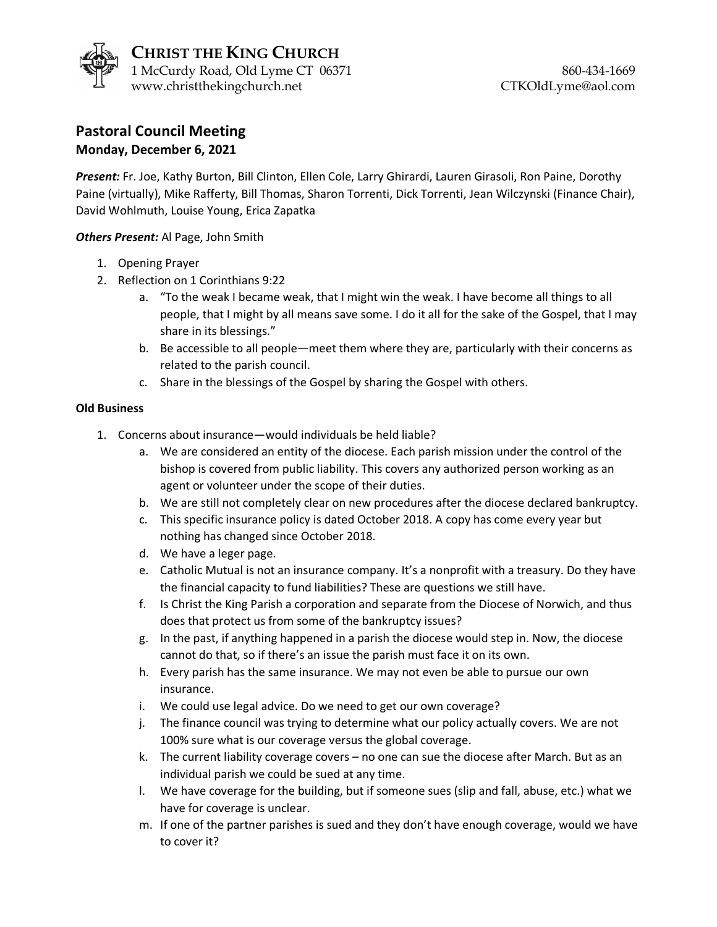

## **Pastoral Council Meeting Monday, December 6, 2021**

*Present:* Fr. Joe, Kathy Burton, Bill Clinton, Ellen Cole, Larry Ghirardi, Lauren Girasoli, Ron Paine, Dorothy Paine (virtually), Mike Rafferty, Bill Thomas, Sharon Torrenti, Dick Torrenti, Jean Wilczynski (Finance Chair), David Wohlmuth, Louise Young, Erica Zapatka

*Others Present:* Al Page, John Smith

- 1. Opening Prayer
- 2. Reflection on 1 Corinthians 9:22
	- a. "To the weak I became weak, that I might win the weak. I have become all things to all people, that I might by all means save some. I do it all for the sake of the Gospel, that I may share in its blessings."
	- b. Be accessible to all people—meet them where they are, particularly with their concerns as related to the parish council.
	- c. Share in the blessings of the Gospel by sharing the Gospel with others.

## **Old Business**

- 1. Concerns about insurance—would individuals be held liable?
	- a. We are considered an entity of the diocese. Each parish mission under the control of the bishop is covered from public liability. This covers any authorized person working as an agent or volunteer under the scope of their duties.
	- b. We are still not completely clear on new procedures after the diocese declared bankruptcy.
	- c. This specific insurance policy is dated October 2018. A copy has come every year but nothing has changed since October 2018.
	- d. We have a leger page.
	- e. Catholic Mutual is not an insurance company. It's a nonprofit with a treasury. Do they have the financial capacity to fund liabilities? These are questions we still have.
	- f. Is Christ the King Parish a corporation and separate from the Diocese of Norwich, and thus does that protect us from some of the bankruptcy issues?
	- g. In the past, if anything happened in a parish the diocese would step in. Now, the diocese cannot do that, so if there's an issue the parish must face it on its own.
	- h. Every parish has the same insurance. We may not even be able to pursue our own insurance.
	- i. We could use legal advice. Do we need to get our own coverage?
	- j. The finance council was trying to determine what our policy actually covers. We are not 100% sure what is our coverage versus the global coverage.
	- k. The current liability coverage covers no one can sue the diocese after March. But as an individual parish we could be sued at any time.
	- l. We have coverage for the building, but if someone sues (slip and fall, abuse, etc.) what we have for coverage is unclear.
	- m. If one of the partner parishes is sued and they don't have enough coverage, would we have to cover it?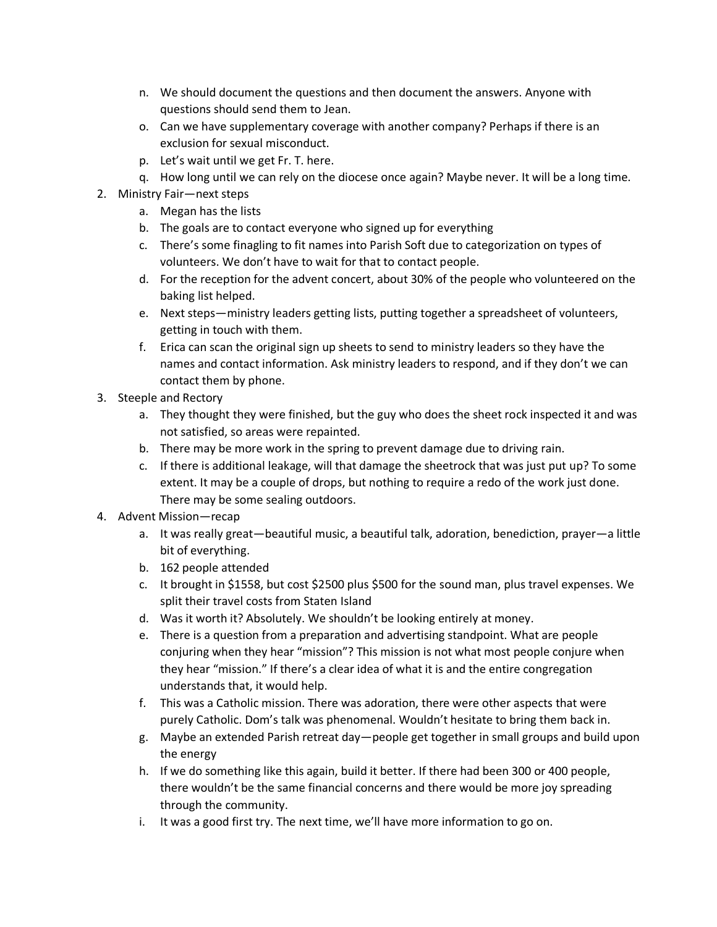- n. We should document the questions and then document the answers. Anyone with questions should send them to Jean.
- o. Can we have supplementary coverage with another company? Perhaps if there is an exclusion for sexual misconduct.
- p. Let's wait until we get Fr. T. here.
- q. How long until we can rely on the diocese once again? Maybe never. It will be a long time.
- 2. Ministry Fair—next steps
	- a. Megan has the lists
	- b. The goals are to contact everyone who signed up for everything
	- c. There's some finagling to fit names into Parish Soft due to categorization on types of volunteers. We don't have to wait for that to contact people.
	- d. For the reception for the advent concert, about 30% of the people who volunteered on the baking list helped.
	- e. Next steps—ministry leaders getting lists, putting together a spreadsheet of volunteers, getting in touch with them.
	- f. Erica can scan the original sign up sheets to send to ministry leaders so they have the names and contact information. Ask ministry leaders to respond, and if they don't we can contact them by phone.
- 3. Steeple and Rectory
	- a. They thought they were finished, but the guy who does the sheet rock inspected it and was not satisfied, so areas were repainted.
	- b. There may be more work in the spring to prevent damage due to driving rain.
	- c. If there is additional leakage, will that damage the sheetrock that was just put up? To some extent. It may be a couple of drops, but nothing to require a redo of the work just done. There may be some sealing outdoors.
- 4. Advent Mission—recap
	- a. It was really great—beautiful music, a beautiful talk, adoration, benediction, prayer—a little bit of everything.
	- b. 162 people attended
	- c. It brought in \$1558, but cost \$2500 plus \$500 for the sound man, plus travel expenses. We split their travel costs from Staten Island
	- d. Was it worth it? Absolutely. We shouldn't be looking entirely at money.
	- e. There is a question from a preparation and advertising standpoint. What are people conjuring when they hear "mission"? This mission is not what most people conjure when they hear "mission." If there's a clear idea of what it is and the entire congregation understands that, it would help.
	- f. This was a Catholic mission. There was adoration, there were other aspects that were purely Catholic. Dom's talk was phenomenal. Wouldn't hesitate to bring them back in.
	- g. Maybe an extended Parish retreat day—people get together in small groups and build upon the energy
	- h. If we do something like this again, build it better. If there had been 300 or 400 people, there wouldn't be the same financial concerns and there would be more joy spreading through the community.
	- i. It was a good first try. The next time, we'll have more information to go on.